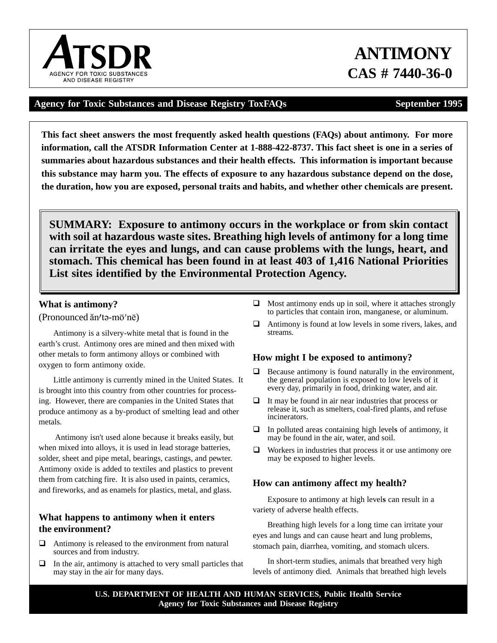# **Agency for Toxic Substances and Disease Registry ToxFAQs September 1995**

**This fact sheet answers the most frequently asked health questions (FAQs) about antimony. For more information, call the ATSDR Information Center at 1-888-422-8737. This fact sheet is one in a series of summaries about hazardous substances and their health effects. This information is important because this substance may harm you. The effects of exposure to any hazardous substance depend on the dose, the duration, how you are exposed, personal traits and habits, and whether other chemicals are present.** 

**SUMMARY: Exposure to antimony occurs in the workplace or from skin contact with soil at hazardous waste sites. Breathing high levels of antimony for a long time can irritate the eyes and lungs, and can cause problems with the lungs, heart, and stomach. This chemical has been found in at least 403 of 1,416 National Priorities List sites identified by the Environmental Protection Agency.** 

# **What is antimony?**

(Pronounced ăn/tə-m $\bar{o}$ 'nē)

Antimony is a silvery-white metal that is found in the earth's crust. Antimony ores are mined and then mixed with other metals to form antimony alloys or combined with oxygen to form antimony oxide.

Little antimony is currently mined in the United States. It is brought into this country from other countries for processing. However, there are companies in the United States that produce antimony as a by-product of smelting lead and other metals.

Antimony isn't used alone because it breaks easily, but when mixed into alloys, it is used in lead storage batteries, solder, sheet and pipe metal, bearings, castings, and pewter. Antimony oxide is added to textiles and plastics to prevent them from catching fire. It is also used in paints, ceramics, and fireworks, and as enamels for plastics, metal, and glass.

# **What happens to antimony when it enters the environment?**

- $\Box$  Antimony is released to the environment from natural sources and from industry.
- $\Box$  In the air, antimony is attached to very small particles that may stay in the air for many days.
- $\Box$  Most antimony ends up in soil, where it attaches strongly to particles that contain iron, manganese, or aluminum.
- $\Box$  Antimony is found at low levels in some rivers, lakes, and streams.

# **How might I be exposed to antimony?**

- Because antimony is found naturally in the environment, the general population is exposed to low levels of it every day, primarily in food, drinking water, and air.
- $\Box$  It may be found in air near industries that process or release it, such as smelters, coal-fired plants, and refuse incinerators.
- $\Box$  In polluted areas containing high levels of antimony, it may be found in the air, water, and soil.
- $\Box$  Workers in industries that process it or use antimony ore may be exposed to higher levels.

# **How can antimony affect my health?**

Exposure to antimony at high level**s** can result in a variety of adverse health effects.

Breathing high levels for a long time can irritate your eyes and lungs and can cause heart and lung problems, stomach pain, diarrhea, vomiting, and stomach ulcers.

In short-term studies, animals that breathed very high levels of antimony died. Animals that breathed high levels

# **ANTIMONY CAS # 7440-36-0**